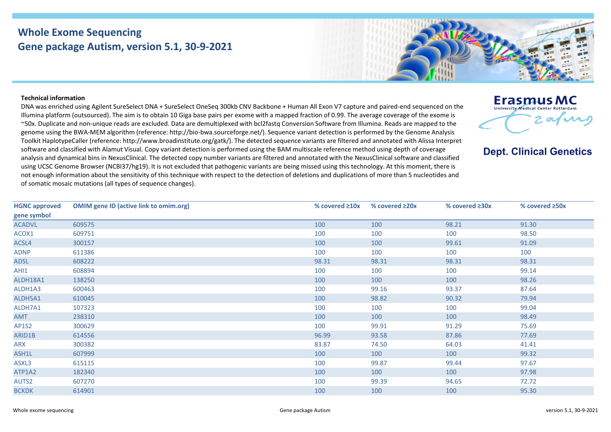## **Whole Exome Sequencing Gene package Autism, version 5.1, 30-9-2021**

## **Technical information**

DNA was enriched using Agilent SureSelect DNA + SureSelect OneSeq 300kb CNV Backbone + Human All Exon V7 capture and paired-end sequenced on the Illumina platform (outsourced). The aim is to obtain 10 Giga base pairs per exome with a mapped fraction of 0.99. The average coverage of the exome is ~50x. Duplicate and non-unique reads are excluded. Data are demultiplexed with bcl2fastq Conversion Software from Illumina. Reads are mapped to the genome using the BWA-MEM algorithm (reference: http://bio-bwa.sourceforge.net/). Sequence variant detection is performed by the Genome Analysis Toolkit HaplotypeCaller (reference: http://www.broadinstitute.org/gatk/). The detected sequence variants are filtered and annotated with Alissa Interpret software and classified with Alamut Visual. Copy variant detection is performed using the BAM multiscale reference method using depth of coverage analysis and dynamical bins in NexusClinical. The detected copy number variants are filtered and annotated with the NexusClinical software and classified using UCSC Genome Browser (NCBI37/hg19). It is not excluded that pathogenic variants are being missed using this technology. At this moment, there is not enough information about the sensitivity of this technique with respect to the detection of deletions and duplications of more than 5 nucleotides and of somatic mosaic mutations (all types of sequence changes).

**HGNC approved gene symbol OMIM gene ID (active link to omim.org) % covered ≥10x % covered ≥20x % covered ≥30x % covered ≥50x** ACADVL [609575](https://omim.org/entry/609575) 100 100 98.21 91.30 ACOX1 [609751](https://omim.org/entry/609751) 100 100 100 98.50 ACSL4 [300157](https://omim.org/entry/300157) 100 100 99.61 91.09 ADNP [611386](https://omim.org/entry/611386) 100 100 100 100 ADSL [608222](https://omim.org/entry/608222) 98.31 98.31 98.31 98.31 AHI1 [608894](https://omim.org/entry/608894) 100 100 100 99.14 ALDH18A1 [138250](https://omim.org/entry/138250) 100 100 100 98.26 ALDH1A3 [600463](https://omim.org/entry/600463) 100 99.16 93.37 87.64 ALDH5A1 [610045](https://omim.org/entry/610045) 100 98.82 90.32 79.94 ALDH7A1 [107323](https://omim.org/entry/107323) 100 100 100 99.04 AMT [238310](https://omim.org/entry/238310) 100 100 100 98.49 AP1S2 [300629](https://omim.org/entry/300629) 100 99.91 91.29 75.69 ARID1B [614556](https://omim.org/entry/614556) 96.99 93.58 87.86 77.69 ARX [300382](https://omim.org/entry/300382) 83.87 74.50 64.03 41.41 ASH1L [607999](https://omim.org/entry/607999) 100 100 100 99.32 ASXL3 [615115](https://omim.org/entry/615115) 100 99.87 99.44 97.67 ATP1A2 [182340](https://omim.org/entry/182340) 100 100 100 97.98 AUTS2 [607270](https://omim.org/entry/607270) 100 99.39 94.65 72.72 BCKDK [614901](https://omim.org/entry/614901) 100 100 100 95.30



## **Erasmus MC** University Medical Center Rotterda 2. av $\boldsymbol{\mathcal{M}}$

## **Dept. Clinical Genetics**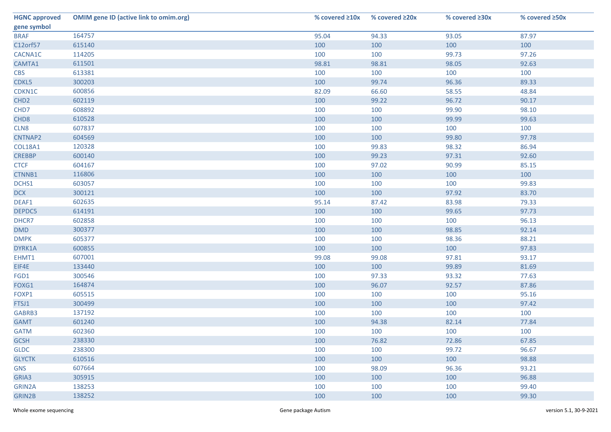| <b>HGNC approved</b> | <b>OMIM gene ID (active link to omim.org)</b> | % covered $\geq 10x$ | % covered $\geq 20x$ | % covered ≥30x | % covered ≥50x |
|----------------------|-----------------------------------------------|----------------------|----------------------|----------------|----------------|
| gene symbol          |                                               |                      |                      |                |                |
| <b>BRAF</b>          | 164757                                        | 95.04                | 94.33                | 93.05          | 87.97          |
| C12orf57             | 615140                                        | 100                  | 100                  | 100            | 100            |
| CACNA1C              | 114205                                        | 100                  | 100                  | 99.73          | 97.26          |
| CAMTA1               | 611501                                        | 98.81                | 98.81                | 98.05          | 92.63          |
| <b>CBS</b>           | 613381                                        | 100                  | 100                  | 100            | 100            |
| CDKL5                | 300203                                        | 100                  | 99.74                | 96.36          | 89.33          |
| CDKN1C               | 600856                                        | 82.09                | 66.60                | 58.55          | 48.84          |
| CHD <sub>2</sub>     | 602119                                        | 100                  | 99.22                | 96.72          | 90.17          |
| CHD7                 | 608892                                        | 100                  | 100                  | 99.90          | 98.10          |
| CHD <sub>8</sub>     | 610528                                        | 100                  | 100                  | 99.99          | 99.63          |
| CLN8                 | 607837                                        | 100                  | 100                  | 100            | 100            |
| CNTNAP2              | 604569                                        | 100                  | 100                  | 99.80          | 97.78          |
| COL18A1              | 120328                                        | 100                  | 99.83                | 98.32          | 86.94          |
| <b>CREBBP</b>        | 600140                                        | 100                  | 99.23                | 97.31          | 92.60          |
| <b>CTCF</b>          | 604167                                        | 100                  | 97.02                | 90.99          | 85.15          |
| CTNNB1               | 116806                                        | 100                  | 100                  | 100            | 100            |
| DCHS1                | 603057                                        | 100                  | 100                  | 100            | 99.83          |
| <b>DCX</b>           | 300121                                        | 100                  | 100                  | 97.92          | 83.70          |
| DEAF1                | 602635                                        | 95.14                | 87.42                | 83.98          | 79.33          |
| DEPDC5               | 614191                                        | 100                  | 100                  | 99.65          | 97.73          |
| DHCR7                | 602858                                        | 100                  | 100                  | 100            | 96.13          |
| <b>DMD</b>           | 300377                                        | 100                  | 100                  | 98.85          | 92.14          |
| <b>DMPK</b>          | 605377                                        | 100                  | 100                  | 98.36          | 88.21          |
| DYRK1A               | 600855                                        | 100                  | 100                  | 100            | 97.83          |
| EHMT1                | 607001                                        | 99.08                | 99.08                | 97.81          | 93.17          |
| EIF4E                | 133440                                        | 100                  | 100                  | 99.89          | 81.69          |
| FGD1                 | 300546                                        | 100                  | 97.33                | 93.32          | 77.63          |
| FOXG1                | 164874                                        | 100                  | 96.07                | 92.57          | 87.86          |
| FOXP1                | 605515                                        | 100                  | 100                  | 100            | 95.16          |
| FTSJ1                | 300499                                        | 100                  | 100                  | 100            | 97.42          |
| GABRB3               | 137192                                        | 100                  | 100                  | 100            | 100            |
| <b>GAMT</b>          | 601240                                        | 100                  | 94.38                | 82.14          | 77.84          |
| <b>GATM</b>          | 602360                                        | 100                  | 100                  | 100            | 100            |
| <b>GCSH</b>          | 238330                                        | 100                  | 76.82                | 72.86          | 67.85          |
| <b>GLDC</b>          | 238300                                        | 100                  | 100                  | 99.72          | 96.67          |
| <b>GLYCTK</b>        | 610516                                        | 100                  | 100                  | 100            | 98.88          |
| <b>GNS</b>           | 607664                                        | 100                  | 98.09                | 96.36          | 93.21          |
| GRIA3                | 305915                                        | 100                  | 100                  | 100            | 96.88          |
| GRIN2A               | 138253                                        | 100                  | 100                  | 100            | 99.40          |
| GRIN2B               | 138252                                        | 100                  | 100                  | 100            | 99.30          |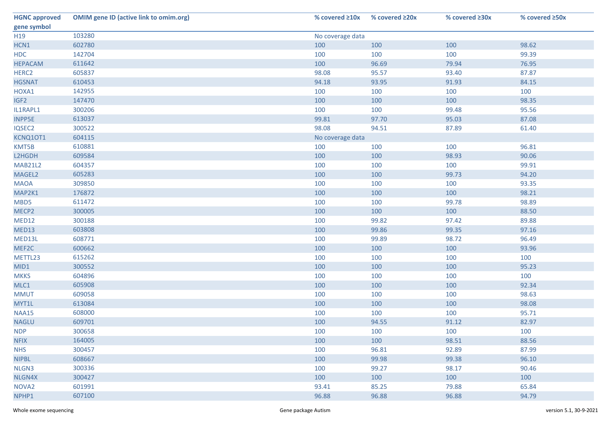| <b>HGNC approved</b> | <b>OMIM gene ID (active link to omim.org)</b> | % covered $\geq 10x$ | % covered $\geq 20x$ | % covered $\geq 30x$ | % covered ≥50x |  |
|----------------------|-----------------------------------------------|----------------------|----------------------|----------------------|----------------|--|
| gene symbol          |                                               |                      |                      |                      |                |  |
| H <sub>19</sub>      | 103280                                        | No coverage data     |                      |                      |                |  |
| HCN1                 | 602780                                        | 100                  | 100                  | 100                  | 98.62          |  |
| <b>HDC</b>           | 142704                                        | 100                  | 100                  | 100                  | 99.39          |  |
| <b>HEPACAM</b>       | 611642                                        | 100                  | 96.69                | 79.94                | 76.95          |  |
| HERC <sub>2</sub>    | 605837                                        | 98.08                | 95.57                | 93.40                | 87.87          |  |
| <b>HGSNAT</b>        | 610453                                        | 94.18                | 93.95                | 91.93                | 84.15          |  |
| HOXA1                | 142955                                        | 100                  | 100                  | 100                  | 100            |  |
| IGF <sub>2</sub>     | 147470                                        | 100                  | 100                  | 100                  | 98.35          |  |
| IL1RAPL1             | 300206                                        | 100                  | 100                  | 99.48                | 95.56          |  |
| <b>INPP5E</b>        | 613037                                        | 99.81                | 97.70                | 95.03                | 87.08          |  |
| IQSEC2               | 300522                                        | 98.08                | 94.51                | 87.89                | 61.40          |  |
| KCNQ10T1             | 604115                                        | No coverage data     |                      |                      |                |  |
| KMT5B                | 610881                                        | 100                  | 100                  | 100                  | 96.81          |  |
| L2HGDH               | 609584                                        | 100                  | 100                  | 98.93                | 90.06          |  |
| <b>MAB21L2</b>       | 604357                                        | 100                  | 100                  | 100                  | 99.91          |  |
| MAGEL2               | 605283                                        | 100                  | 100                  | 99.73                | 94.20          |  |
| <b>MAOA</b>          | 309850                                        | 100                  | 100                  | 100                  | 93.35          |  |
| MAP2K1               | 176872                                        | 100                  | 100                  | 100                  | 98.21          |  |
| MBD5                 | 611472                                        | 100                  | 100                  | 99.78                | 98.89          |  |
| MECP2                | 300005                                        | 100                  | 100                  | 100                  | 88.50          |  |
| MED12                | 300188                                        | 100                  | 99.82                | 97.42                | 89.88          |  |
| MED13                | 603808                                        | 100                  | 99.86                | 99.35                | 97.16          |  |
| MED13L               | 608771                                        | 100                  | 99.89                | 98.72                | 96.49          |  |
| MEF2C                | 600662                                        | 100                  | 100                  | 100                  | 93.96          |  |
| METTL23              | 615262                                        | 100                  | 100                  | 100                  | 100            |  |
| MID1                 | 300552                                        | 100                  | 100                  | 100                  | 95.23          |  |
| <b>MKKS</b>          | 604896                                        | 100                  | 100                  | 100                  | 100            |  |
| MLC1                 | 605908                                        | 100                  | 100                  | 100                  | 92.34          |  |
| <b>MMUT</b>          | 609058                                        | 100                  | 100                  | 100                  | 98.63          |  |
| MYT1L                | 613084                                        | 100                  | 100                  | 100                  | 98.08          |  |
| <b>NAA15</b>         | 608000                                        | 100                  | 100                  | 100                  | 95.71          |  |
| <b>NAGLU</b>         | 609701                                        | 100                  | 94.55                | 91.12                | 82.97          |  |
| <b>NDP</b>           | 300658                                        | 100                  | 100                  | 100                  | 100            |  |
| <b>NFIX</b>          | 164005                                        | 100                  | 100                  | 98.51                | 88.56          |  |
| <b>NHS</b>           | 300457                                        | 100                  | 96.81                | 92.89                | 87.99          |  |
| <b>NIPBL</b>         | 608667                                        | 100                  | 99.98                | 99.38                | 96.10          |  |
| NLGN3                | 300336                                        | 100                  | 99.27                | 98.17                | 90.46          |  |
| NLGN4X               | 300427                                        | 100                  | 100                  | 100                  | 100            |  |
| NOVA <sub>2</sub>    | 601991                                        | 93.41                | 85.25                | 79.88                | 65.84          |  |
| NPHP1                | 607100                                        | 96.88                | 96.88                | 96.88                | 94.79          |  |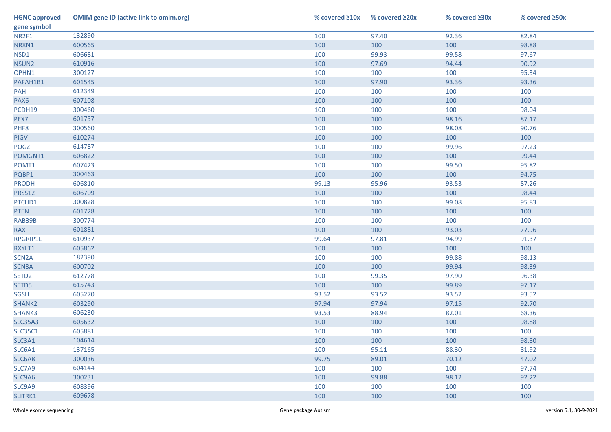| <b>HGNC approved</b> | <b>OMIM gene ID (active link to omim.org)</b> | % covered $\geq 10x$ | % covered $\geq 20x$ | % covered ≥30x | % covered ≥50x |
|----------------------|-----------------------------------------------|----------------------|----------------------|----------------|----------------|
| gene symbol          |                                               |                      |                      |                |                |
| NR2F1                | 132890                                        | 100                  | 97.40                | 92.36          | 82.84          |
| NRXN1                | 600565                                        | 100                  | 100                  | 100            | 98.88          |
| NSD1                 | 606681                                        | 100                  | 99.93                | 99.58          | 97.67          |
| NSUN2                | 610916                                        | 100                  | 97.69                | 94.44          | 90.92          |
| OPHN1                | 300127                                        | 100                  | 100                  | 100            | 95.34          |
| PAFAH1B1             | 601545                                        | 100                  | 97.90                | 93.36          | 93.36          |
| PAH                  | 612349                                        | 100                  | 100                  | 100            | 100            |
| PAX6                 | 607108                                        | 100                  | 100                  | 100            | 100            |
| PCDH19               | 300460                                        | 100                  | 100                  | 100            | 98.04          |
| PEX7                 | 601757                                        | 100                  | 100                  | 98.16          | 87.17          |
| PHF8                 | 300560                                        | 100                  | 100                  | 98.08          | 90.76          |
| <b>PIGV</b>          | 610274                                        | 100                  | 100                  | 100            | 100            |
| POGZ                 | 614787                                        | 100                  | 100                  | 99.96          | 97.23          |
| POMGNT1              | 606822                                        | 100                  | 100                  | 100            | 99.44          |
| POMT1                | 607423                                        | 100                  | 100                  | 99.50          | 95.82          |
| PQBP1                | 300463                                        | 100                  | 100                  | 100            | 94.75          |
| <b>PRODH</b>         | 606810                                        | 99.13                | 95.96                | 93.53          | 87.26          |
| PRSS12               | 606709                                        | 100                  | 100                  | 100            | 98.44          |
| PTCHD1               | 300828                                        | 100                  | 100                  | 99.08          | 95.83          |
| <b>PTEN</b>          | 601728                                        | 100                  | 100                  | 100            | 100            |
| RAB39B               | 300774                                        | 100                  | 100                  | 100            | 100            |
| <b>RAX</b>           | 601881                                        | 100                  | 100                  | 93.03          | 77.96          |
| RPGRIP1L             | 610937                                        | 99.64                | 97.81                | 94.99          | 91.37          |
| RXYLT1               | 605862                                        | 100                  | 100                  | 100            | 100            |
| SCN <sub>2</sub> A   | 182390                                        | 100                  | 100                  | 99.88          | 98.13          |
| SCN8A                | 600702                                        | 100                  | 100                  | 99.94          | 98.39          |
| SETD <sub>2</sub>    | 612778                                        | 100                  | 99.35                | 97.90          | 96.38          |
| SETD5                | 615743                                        | 100                  | 100                  | 99.89          | 97.17          |
| SGSH                 | 605270                                        | 93.52                | 93.52                | 93.52          | 93.52          |
| SHANK2               | 603290                                        | 97.94                | 97.94                | 97.15          | 92.70          |
| SHANK3               | 606230                                        | 93.53                | 88.94                | 82.01          | 68.36          |
| <b>SLC35A3</b>       | 605632                                        | 100                  | 100                  | 100            | 98.88          |
| <b>SLC35C1</b>       | 605881                                        | 100                  | 100                  | 100            | 100            |
| SLC3A1               | 104614                                        | 100                  | 100                  | 100            | 98.80          |
| SLC6A1               | 137165                                        | 100                  | 95.11                | 88.30          | 81.92          |
| SLC6A8               | 300036                                        | 99.75                | 89.01                | 70.12          | 47.02          |
| SLC7A9               | 604144                                        | 100                  | 100                  | 100            | 97.74          |
| SLC9A6               | 300231                                        | 100                  | 99.88                | 98.12          | 92.22          |
| SLC9A9               | 608396                                        | 100                  | 100                  | 100            | 100            |
| SLITRK1              | 609678                                        | 100                  | 100                  | 100            | 100            |